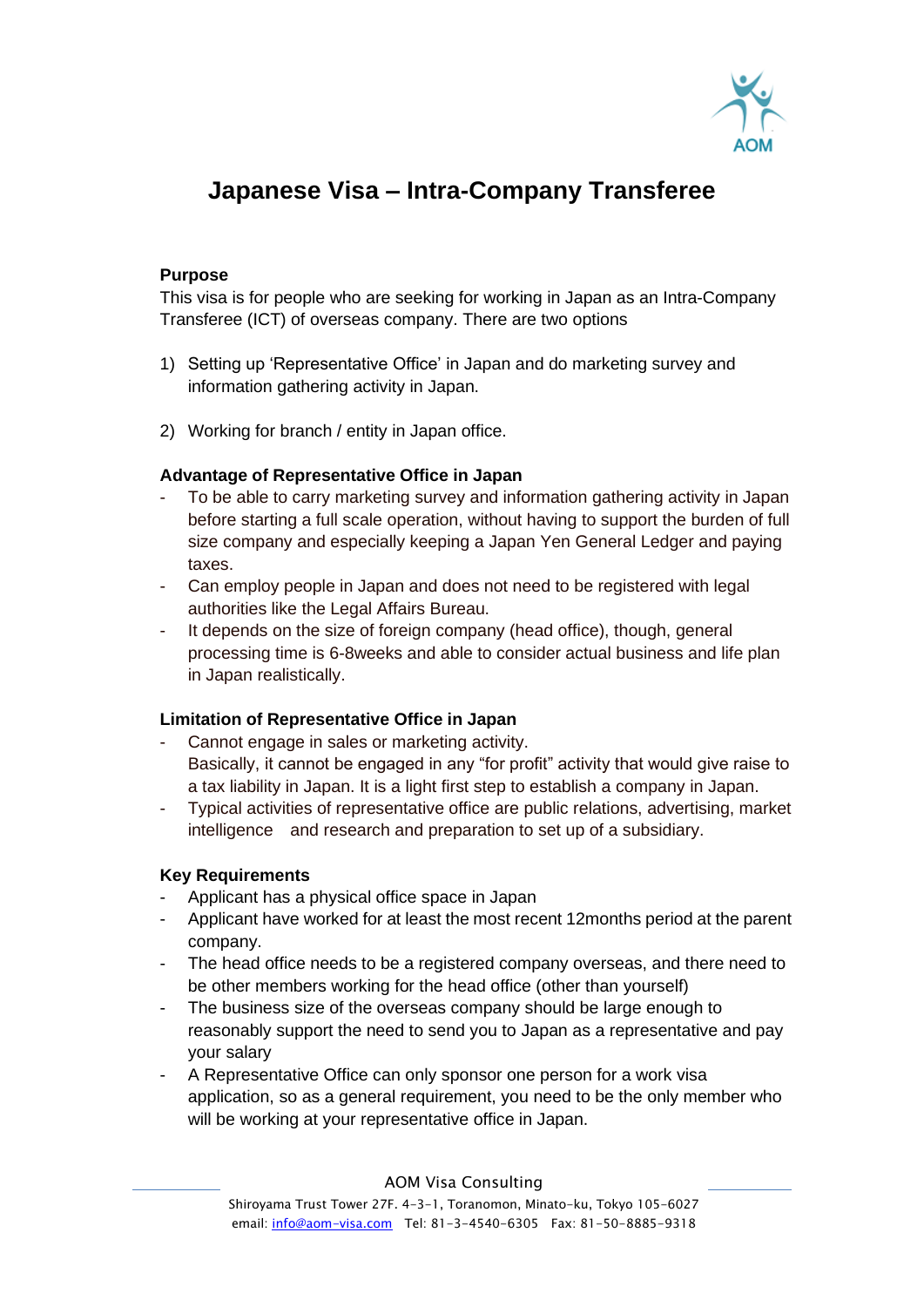

# **Japanese Visa – Intra-Company Transferee**

## **Purpose**

This visa is for people who are seeking for working in Japan as an Intra-Company Transferee (ICT) of overseas company. There are two options

- 1) Setting up 'Representative Office' in Japan and do marketing survey and information gathering activity in Japan.
- 2) Working for branch / entity in Japan office.

### **Advantage of Representative Office in Japan**

- To be able to carry marketing survey and information gathering activity in Japan before starting a full scale operation, without having to support the burden of full size company and especially keeping a Japan Yen General Ledger and paying taxes.
- Can employ people in Japan and does not need to be registered with legal authorities like the Legal Affairs Bureau.
- It depends on the size of foreign company (head office), though, general processing time is 6-8weeks and able to consider actual business and life plan in Japan realistically.

### **Limitation of Representative Office in Japan**

- Cannot engage in sales or marketing activity. Basically, it cannot be engaged in any "for profit" activity that would give raise to a tax liability in Japan. It is a light first step to establish a company in Japan.
- Typical activities of representative office are public relations, advertising, market intelligence and research and preparation to set up of a subsidiary.

### **Key Requirements**

- Applicant has a physical office space in Japan
- Applicant have worked for at least the most recent 12months period at the parent company.
- The head office needs to be a registered company overseas, and there need to be other members working for the head office (other than yourself)
- The business size of the overseas company should be large enough to reasonably support the need to send you to Japan as a representative and pay your salary
- A Representative Office can only sponsor one person for a work visa application, so as a general requirement, you need to be the only member who will be working at your representative office in Japan.

AOM Visa Consulting